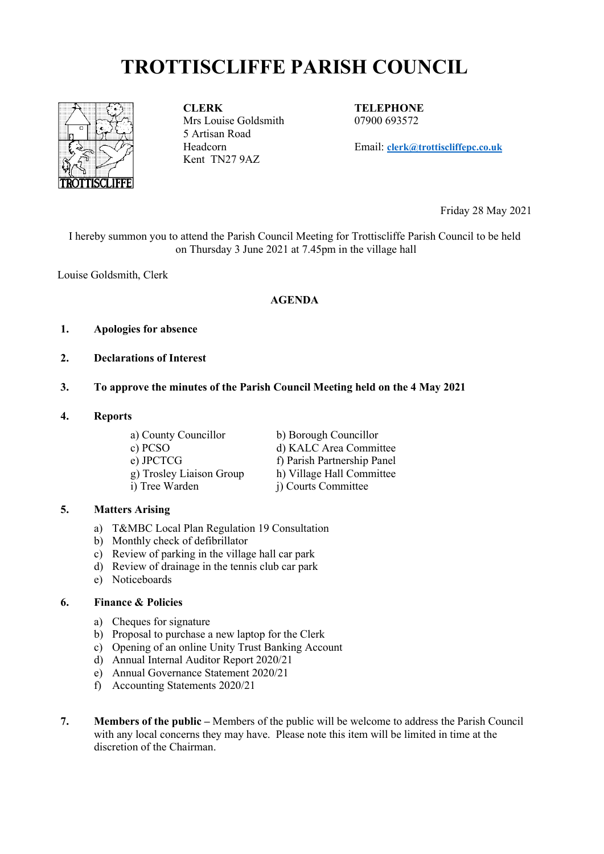# **TROTTISCLIFFE PARISH COUNCIL**



**CLERK** Mrs Louise Goldsmith 5 Artisan Road Headcorn Kent TN27 9AZ

**TELEPHONE** 07900 693572

Email: **[clerk@trottiscliffepc.co.uk](mailto:clerk@trottiscliffepc.co.uk)**

Friday 28 May 2021

I hereby summon you to attend the Parish Council Meeting for Trottiscliffe Parish Council to be held on Thursday 3 June 2021 at 7.45pm in the village hall

Louise Goldsmith, Clerk

#### **AGENDA**

#### **1. Apologies for absence**

**2. Declarations of Interest**

#### **3. To approve the minutes of the Parish Council Meeting held on the 4 May 2021**

#### **4. Reports**

a) County Councillor b) Borough Councillor c) PCSO d) KALC Area Committee e) JPCTCG<br>
g) Trosley Liaison Group<br>
h) Village Hall Committee g) Trosley Liaison Group i) Tree Warden j) Courts Committee

#### **5. Matters Arising**

- a) T&MBC Local Plan Regulation 19 Consultation
- b) Monthly check of defibrillator
- c) Review of parking in the village hall car park
- d) Review of drainage in the tennis club car park
- e) Noticeboards

#### **6. Finance & Policies**

- a) Cheques for signature
- b) Proposal to purchase a new laptop for the Clerk
- c) Opening of an online Unity Trust Banking Account
- d) Annual Internal Auditor Report 2020/21
- e) Annual Governance Statement 2020/21
- f) Accounting Statements 2020/21
- **7. Members of the public** Members of the public will be welcome to address the Parish Council with any local concerns they may have. Please note this item will be limited in time at the discretion of the Chairman.